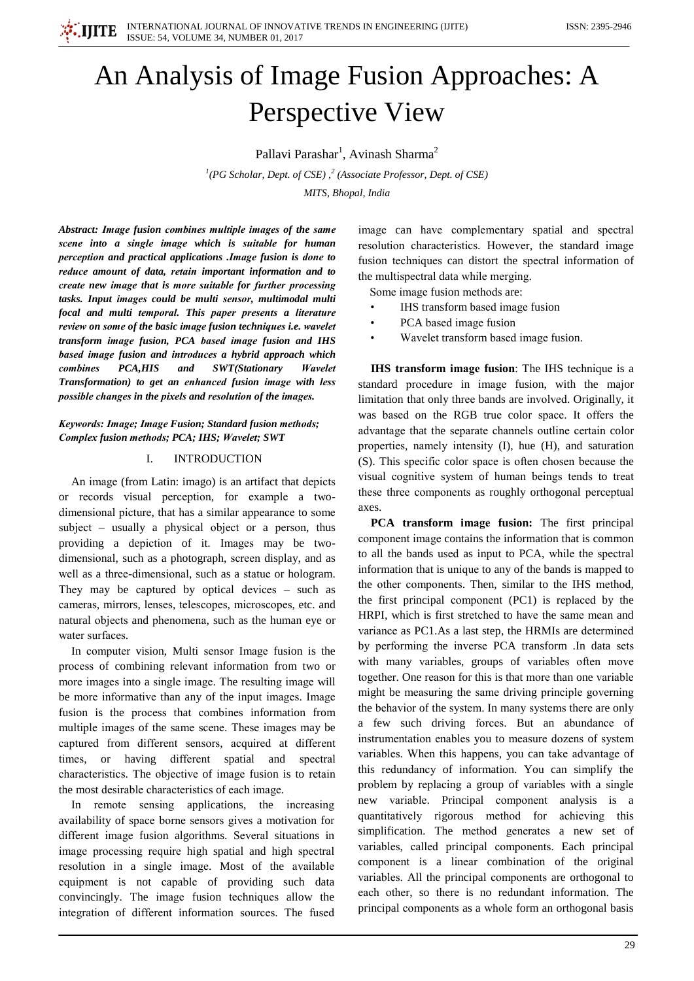# An Analysis of Image Fusion Approaches: A **Perspective View**

Pallavi Parashar<sup>1</sup>, Avinash Sharma<sup>2</sup>

<sup>1</sup>(PG Scholar, Dept. of CSE),<sup>2</sup> (Associate Professor, Dept. of CSE) MITS, Bhopal, India

Abstract: Image fusion combines multiple images of the same scene into a single image which is suitable for human perception and practical applications .Image fusion is done to reduce amount of data, retain important information and to create new image that is more suitable for further processing tasks. Input images could be multi sensor, multimodal multi focal and multi temporal. This paper presents a literature review on some of the basic image fusion techniques *i.e.* wavelet transform image fusion, PCA based image fusion and IHS based image fusion and introduces a hybrid approach which combines PCA,HIS and SWT(Stationary Wavelet Transformation) to get an enhanced fusion image with less possible changes in the pixels and resolution of the images.

## Keywords: Image; Image Fusion; Standard fusion methods; Complex fusion methods; PCA; IHS; Wavelet; SWT

#### **INTRODUCTION** L

An image (from Latin: imago) is an artifact that depicts or records visual perception, for example a twodimensional picture, that has a similar appearance to some subject – usually a physical object or a person, thus providing a depiction of it. Images may be twodimensional, such as a photograph, screen display, and as well as a three-dimensional, such as a statue or hologram. They may be captured by optical devices  $-$  such as cameras, mirrors, lenses, telescopes, microscopes, etc. and natural objects and phenomena, such as the human eye or water surfaces.

In computer vision, Multi sensor Image fusion is the process of combining relevant information from two or more images into a single image. The resulting image will be more informative than any of the input images. Image fusion is the process that combines information from multiple images of the same scene. These images may be captured from different sensors, acquired at different or having different spatial and times. spectral characteristics. The objective of image fusion is to retain the most desirable characteristics of each image.

In remote sensing applications, the increasing availability of space borne sensors gives a motivation for different image fusion algorithms. Several situations in image processing require high spatial and high spectral resolution in a single image. Most of the available equipment is not capable of providing such data convincingly. The image fusion techniques allow the integration of different information sources. The fused image can have complementary spatial and spectral resolution characteristics. However, the standard image fusion techniques can distort the spectral information of the multispectral data while merging.

Some image fusion methods are:

- IHS transform based image fusion
- PCA based image fusion
- Wavelet transform based image fusion.

**IHS transform image fusion:** The IHS technique is a standard procedure in image fusion, with the major limitation that only three bands are involved. Originally, it was based on the RGB true color space. It offers the advantage that the separate channels outline certain color properties, namely intensity (I), hue (H), and saturation (S). This specific color space is often chosen because the visual cognitive system of human beings tends to treat these three components as roughly orthogonal perceptual axes.

PCA transform image fusion: The first principal component image contains the information that is common to all the bands used as input to PCA, while the spectral information that is unique to any of the bands is mapped to the other components. Then, similar to the IHS method, the first principal component (PC1) is replaced by the HRPI, which is first stretched to have the same mean and variance as PC1.As a last step, the HRMIs are determined by performing the inverse PCA transform . In data sets with many variables, groups of variables often move together. One reason for this is that more than one variable might be measuring the same driving principle governing the behavior of the system. In many systems there are only a few such driving forces. But an abundance of instrumentation enables you to measure dozens of system variables. When this happens, you can take advantage of this redundancy of information. You can simplify the problem by replacing a group of variables with a single new variable. Principal component analysis is a quantitatively rigorous method for achieving this simplification. The method generates a new set of variables, called principal components. Each principal component is a linear combination of the original variables. All the principal components are orthogonal to each other, so there is no redundant information. The principal components as a whole form an orthogonal basis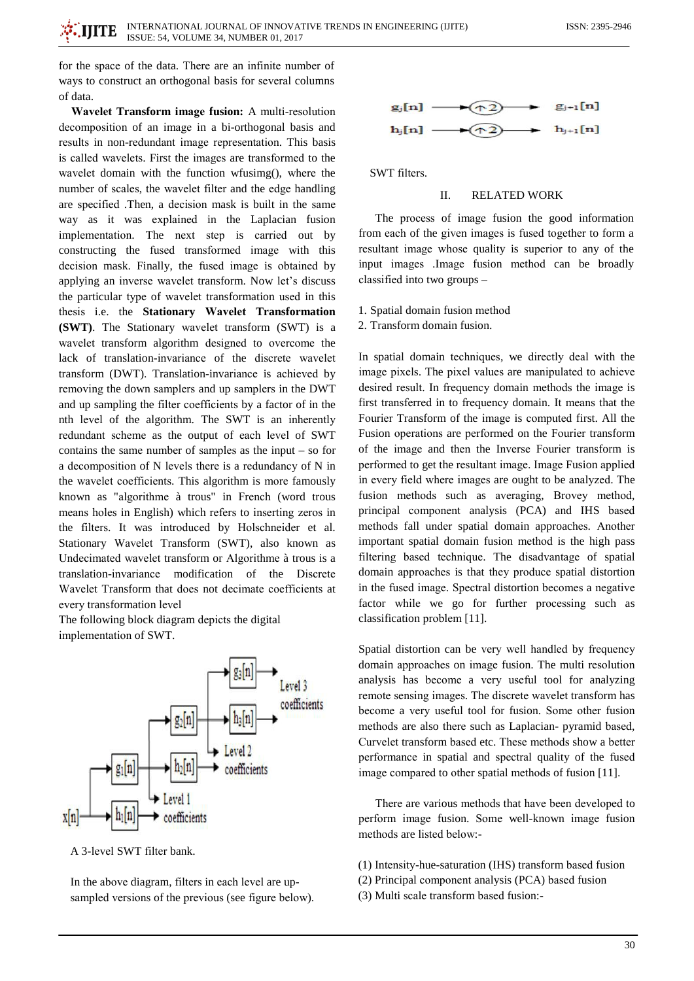for the space of the data. There are an infinite number of ways to construct an orthogonal basis for several columns of data.

Wavelet Transform image fusion: A multi-resolution decomposition of an image in a bi-orthogonal basis and results in non-redundant image representation. This basis is called wavelets. First the images are transformed to the wavelet domain with the function wfusimg(), where the number of scales, the wavelet filter and the edge handling are specified .Then, a decision mask is built in the same way as it was explained in the Laplacian fusion implementation. The next step is carried out by constructing the fused transformed image with this decision mask. Finally, the fused image is obtained by applying an inverse wavelet transform. Now let's discuss the particular type of wavelet transformation used in this thesis i.e. the Stationary Wavelet Transformation (SWT). The Stationary wavelet transform (SWT) is a wavelet transform algorithm designed to overcome the lack of translation-invariance of the discrete wavelet transform (DWT). Translation-invariance is achieved by removing the down samplers and up samplers in the DWT and up sampling the filter coefficients by a factor of in the nth level of the algorithm. The SWT is an inherently redundant scheme as the output of each level of SWT contains the same number of samples as the input  $-$  so for a decomposition of N levels there is a redundancy of N in the wavelet coefficients. This algorithm is more famously known as "algorithme à trous" in French (word trous means holes in English) which refers to inserting zeros in the filters. It was introduced by Holschneider et al. Stationary Wavelet Transform (SWT), also known as Undecimated wavelet transform or Algorithme à trous is a translation-invariance modification of the Discrete Wavelet Transform that does not decimate coefficients at every transformation level

The following block diagram depicts the digital implementation of SWT.



A 3-level SWT filter bank.

In the above diagram, filters in each level are upsampled versions of the previous (see figure below).



SWT filters.

#### $\Pi$ . **RELATED WORK**

The process of image fusion the good information from each of the given images is fused together to form a resultant image whose quality is superior to any of the input images .Image fusion method can be broadly classified into two groups -

1. Spatial domain fusion method

2. Transform domain fusion.

In spatial domain techniques, we directly deal with the image pixels. The pixel values are manipulated to achieve desired result. In frequency domain methods the image is first transferred in to frequency domain. It means that the Fourier Transform of the image is computed first. All the Fusion operations are performed on the Fourier transform of the image and then the Inverse Fourier transform is performed to get the resultant image. Image Fusion applied in every field where images are ought to be analyzed. The fusion methods such as averaging, Brovey method, principal component analysis (PCA) and IHS based methods fall under spatial domain approaches. Another important spatial domain fusion method is the high pass filtering based technique. The disadvantage of spatial domain approaches is that they produce spatial distortion in the fused image. Spectral distortion becomes a negative factor while we go for further processing such as classification problem [11].

Spatial distortion can be very well handled by frequency domain approaches on image fusion. The multi resolution analysis has become a very useful tool for analyzing remote sensing images. The discrete wavelet transform has become a very useful tool for fusion. Some other fusion methods are also there such as Laplacian- pyramid based, Curvelet transform based etc. These methods show a better performance in spatial and spectral quality of the fused image compared to other spatial methods of fusion [11].

There are various methods that have been developed to perform image fusion. Some well-known image fusion methods are listed below:-

- (1) Intensity-hue-saturation (IHS) transform based fusion
- (2) Principal component analysis (PCA) based fusion
- (3) Multi scale transform based fusion:-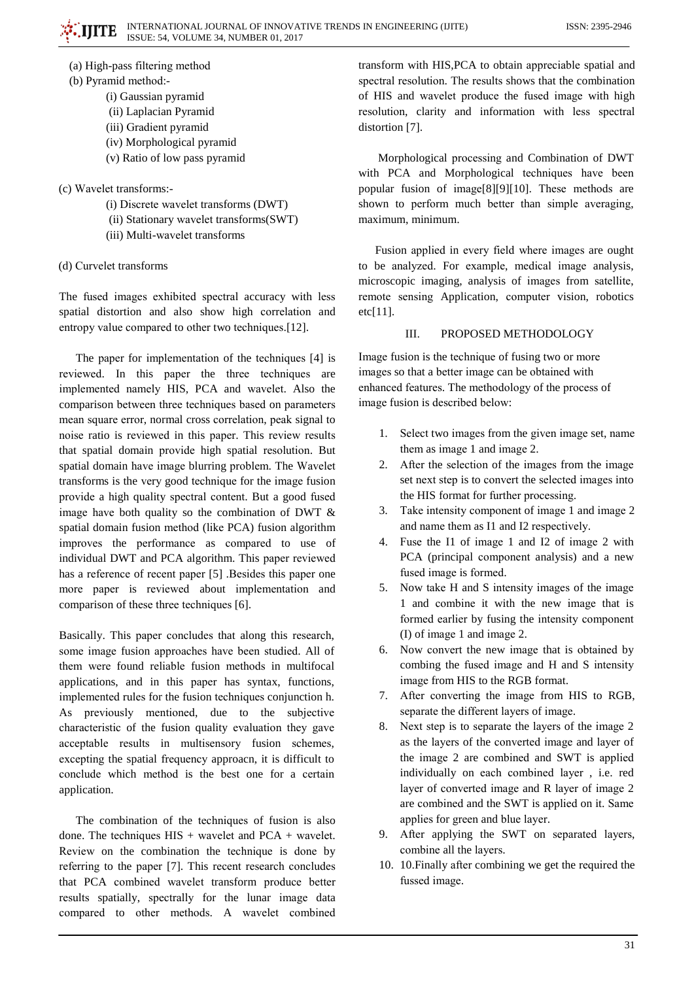- (a) High-pass filtering method
- (b) Pyramid method:-
	- (i) Gaussian pyramid
	- (ii) Laplacian Pyramid
	- (iii) Gradient pyramid
	- (iv) Morphological pyramid
	- (v) Ratio of low pass pyramid
- (c) Wavelet transforms:-
	- (i) Discrete wavelet transforms (DWT)
	- (ii) Stationary wavelet transforms(SWT)
	- (iii) Multi-wavelet transforms

# (d) Curvelet transforms

The fused images exhibited spectral accuracy with less spatial distortion and also show high correlation and entropy value compared to other two techniques. [12].

The paper for implementation of the techniques [4] is reviewed. In this paper the three techniques are implemented namely HIS, PCA and wavelet. Also the comparison between three techniques based on parameters mean square error, normal cross correlation, peak signal to noise ratio is reviewed in this paper. This review results that spatial domain provide high spatial resolution. But spatial domain have image blurring problem. The Wavelet transforms is the very good technique for the image fusion provide a high quality spectral content. But a good fused image have both quality so the combination of DWT  $\&$ spatial domain fusion method (like PCA) fusion algorithm improves the performance as compared to use of individual DWT and PCA algorithm. This paper reviewed has a reference of recent paper [5]. Besides this paper one more paper is reviewed about implementation and comparison of these three techniques [6].

Basically. This paper concludes that along this research, some image fusion approaches have been studied. All of them were found reliable fusion methods in multifocal applications, and in this paper has syntax, functions, implemented rules for the fusion techniques conjunction h. As previously mentioned, due to the subjective characteristic of the fusion quality evaluation they gave acceptable results in multisensory fusion schemes, excepting the spatial frequency approacn, it is difficult to conclude which method is the best one for a certain application.

The combination of the techniques of fusion is also done. The techniques  $HIS + wavelet$  and  $PCA + wavelet$ . Review on the combination the technique is done by referring to the paper [7]. This recent research concludes that PCA combined wavelet transform produce better results spatially, spectrally for the lunar image data compared to other methods. A wavelet combined

transform with HIS, PCA to obtain appreciable spatial and spectral resolution. The results shows that the combination of HIS and wavelet produce the fused image with high resolution, clarity and information with less spectral distortion [7].

Morphological processing and Combination of DWT with PCA and Morphological techniques have been popular fusion of image[8][9][10]. These methods are shown to perform much better than simple averaging, maximum, minimum.

Fusion applied in every field where images are ought to be analyzed. For example, medical image analysis, microscopic imaging, analysis of images from satellite, remote sensing Application, computer vision, robotics  $etc[11]$ .

#### PROPOSED METHODOLOGY III.

Image fusion is the technique of fusing two or more images so that a better image can be obtained with enhanced features. The methodology of the process of image fusion is described below:

- 1. Select two images from the given image set, name them as image 1 and image 2.
- 2. After the selection of the images from the image set next step is to convert the selected images into the HIS format for further processing.
- 3. Take intensity component of image 1 and image 2 and name them as I1 and I2 respectively.
- 4. Fuse the I1 of image 1 and I2 of image 2 with PCA (principal component analysis) and a new fused image is formed.
- 5. Now take H and S intensity images of the image 1 and combine it with the new image that is formed earlier by fusing the intensity component (I) of image 1 and image 2.
- 6. Now convert the new image that is obtained by combing the fused image and H and S intensity image from HIS to the RGB format.
- 7. After converting the image from HIS to RGB, separate the different layers of image.
- 8. Next step is to separate the layers of the image 2 as the layers of the converted image and layer of the image 2 are combined and SWT is applied individually on each combined layer, i.e. red layer of converted image and R layer of image 2 are combined and the SWT is applied on it. Same applies for green and blue layer.
- 9. After applying the SWT on separated layers, combine all the lavers.
- 10. 10. Finally after combining we get the required the fussed image.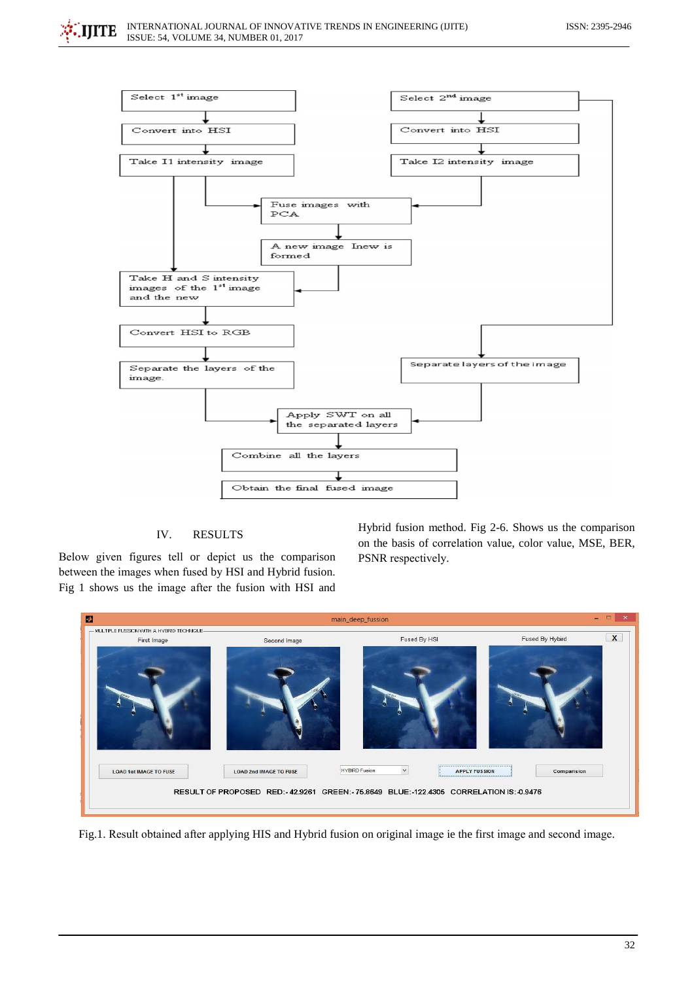



#### $IV.$ **RESULTS**

Below given figures tell or depict us the comparison between the images when fused by HSI and Hybrid fusion. Fig 1 shows us the image after the fusion with HSI and

Hybrid fusion method. Fig 2-6. Shows us the comparison on the basis of correlation value, color value, MSE, BER, PSNR respectively.



Fig.1. Result obtained after applying HIS and Hybrid fusion on original image ie the first image and second image.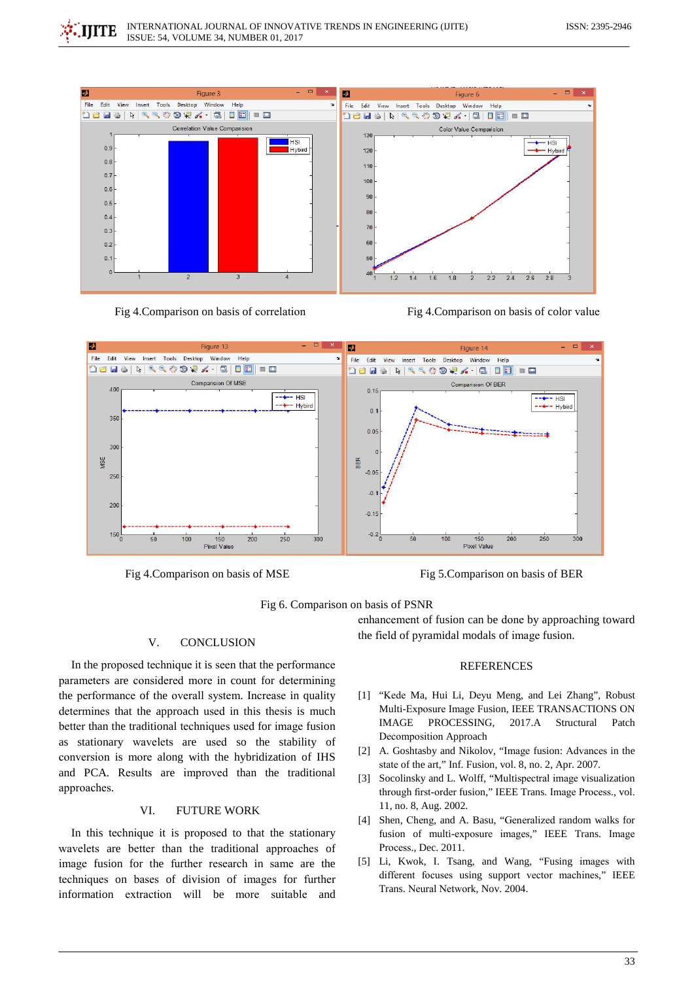







Fig 4. Comparison on basis of MSE

Fig 5. Comparison on basis of BER

Fig 6. Comparison on basis of PSNR

#### V. **CONCLUSION**

In the proposed technique it is seen that the performance parameters are considered more in count for determining the performance of the overall system. Increase in quality determines that the approach used in this thesis is much better than the traditional techniques used for image fusion as stationary wavelets are used so the stability of conversion is more along with the hybridization of IHS and PCA. Results are improved than the traditional approaches.

#### VI. **FUTURE WORK**

In this technique it is proposed to that the stationary wavelets are better than the traditional approaches of image fusion for the further research in same are the techniques on bases of division of images for further information extraction will be more suitable and

enhancement of fusion can be done by approaching toward the field of pyramidal modals of image fusion.

### **REFERENCES**

- [1] "Kede Ma, Hui Li, Deyu Meng, and Lei Zhang", Robust Multi-Exposure Image Fusion, IEEE TRANSACTIONS ON 2017.A Structural **IMAGE** PROCESSING. Patch Decomposition Approach
- [2] A. Goshtasby and Nikolov, "Image fusion: Advances in the state of the art," Inf. Fusion, vol. 8, no. 2, Apr. 2007.
- [3] Socolinsky and L. Wolff, "Multispectral image visualization through first-order fusion," IEEE Trans. Image Process., vol. 11, no. 8, Aug. 2002.
- [4] Shen, Cheng, and A. Basu, "Generalized random walks for fusion of multi-exposure images," IEEE Trans. Image Process., Dec. 2011.
- [5] Li, Kwok, I. Tsang, and Wang, "Fusing images with different focuses using support vector machines," IEEE Trans. Neural Network, Nov. 2004.